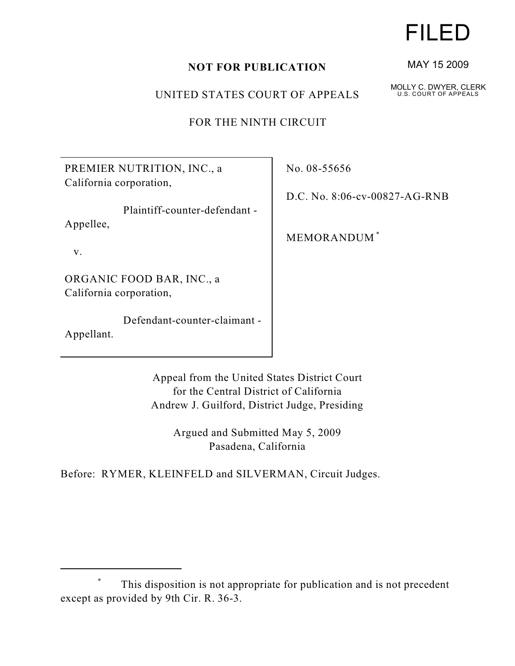## **NOT FOR PUBLICATION**

UNITED STATES COURT OF APPEALS

FOR THE NINTH CIRCUIT

PREMIER NUTRITION, INC., a California corporation,

 Plaintiff-counter-defendant - Appellee,

v.

ORGANIC FOOD BAR, INC., a California corporation,

 Defendant-counter-claimant - Appellant.

No. 08-55656

D.C. No. 8:06-cv-00827-AG-RNB

MEMORANDUM \*

Appeal from the United States District Court for the Central District of California Andrew J. Guilford, District Judge, Presiding

> Argued and Submitted May 5, 2009 Pasadena, California

Before: RYMER, KLEINFELD and SILVERMAN, Circuit Judges.

## FILED

MAY 15 2009

MOLLY C. DWYER, CLERK U.S. COURT OF APPEALS

This disposition is not appropriate for publication and is not precedent \* except as provided by 9th Cir. R. 36-3.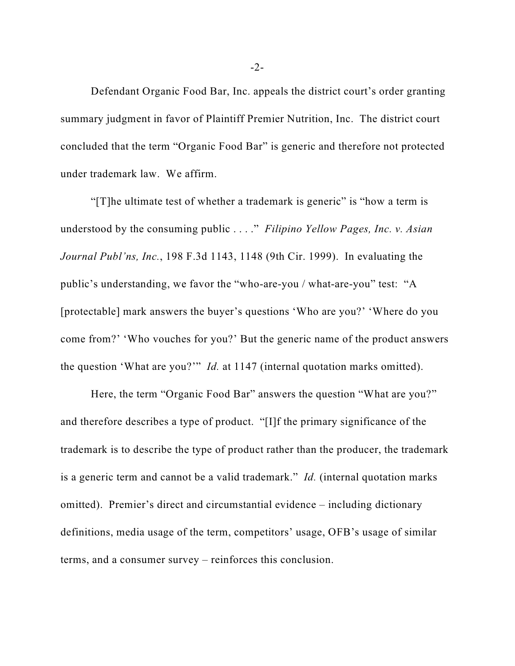Defendant Organic Food Bar, Inc. appeals the district court's order granting summary judgment in favor of Plaintiff Premier Nutrition, Inc. The district court concluded that the term "Organic Food Bar" is generic and therefore not protected under trademark law. We affirm.

"[T]he ultimate test of whether a trademark is generic" is "how a term is understood by the consuming public . . . ." *Filipino Yellow Pages, Inc. v. Asian Journal Publ'ns, Inc.*, 198 F.3d 1143, 1148 (9th Cir. 1999). In evaluating the public's understanding, we favor the "who-are-you / what-are-you" test: "A [protectable] mark answers the buyer's questions 'Who are you?' 'Where do you come from?' 'Who vouches for you?' But the generic name of the product answers the question 'What are you?'" *Id.* at 1147 (internal quotation marks omitted).

Here, the term "Organic Food Bar" answers the question "What are you?" and therefore describes a type of product. "[I]f the primary significance of the trademark is to describe the type of product rather than the producer, the trademark is a generic term and cannot be a valid trademark." *Id.* (internal quotation marks omitted). Premier's direct and circumstantial evidence – including dictionary definitions, media usage of the term, competitors' usage, OFB's usage of similar terms, and a consumer survey – reinforces this conclusion.

-2-